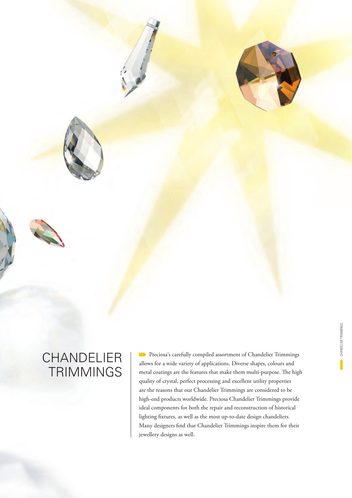

# CHANDELIER **TRIMMINGS**

**Preciosa's carefully compiled assortment of Chandelier Trimmings** allows for a wide variety of applications. Diverse shapes, colours and metal coatings are the features that make them multi-purpose. The high quality of crystal, perfect processing and excellent utility properties are the reasons that our Chandelier Trimmings are considered to be high-end products worldwide. Preciosa Chandelier Trimmings provide ideal components for both the repair and reconstruction of historical lighting fixtures, as well as the most up-to-date design chandeliers. Many designers find that Chandelier Trimmings inspire them for their jewellery designs as well.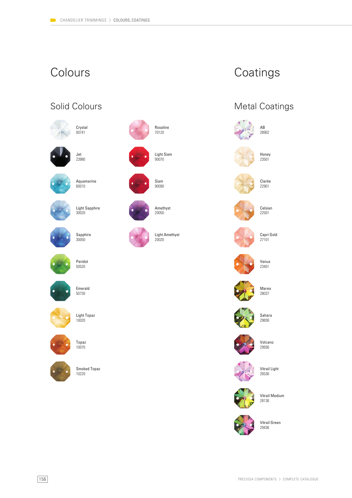# Colours Coatings

### Solid Colours





Jet 23980



60010

Aquamarine



Sapphire



Peridot 50520

30050



Emerald 50730



Light Topaz 10020



10220







20020



Smoked Topaz



Metal Coatings





Marea 28037



Volcano 29936



Vitrail Light 26536



Vitrail Medium 28136



Vitrail Green







Venus 23401

Sahara 29836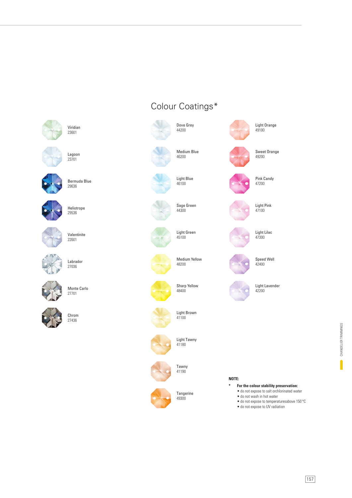

Lagoon

23701

Viridian 23601



Bermuda Blue 29636



Heliotrope 29536



Valentinite 22601



Labrador 27036



Monte Carlo 27701



Chrom 27436

# Colour Coatings\*

Dove Grey 44200





Medium Blue 46200

> Light Blue 46100







Light Green 45100

Sage Green 44300



Medium Yellow 48200



Sharp Yellow 48400







Light Tawny 41180

Tawny 41190





**Tangerine** 49300



**NOTE:**

**\* For the colour stability preservation:**

• do not expose to salt orchlorinated water

Light Orange 49100

Sweet Orange 49200

Pink Candy 47200

Light Pink 47100

Light Lilac 47300

Speed Well 42400

Light Lavender 42200

- do not wash in hot water
- do not expose to temperaturesabove 150 °C
- do not expose to UV radiation

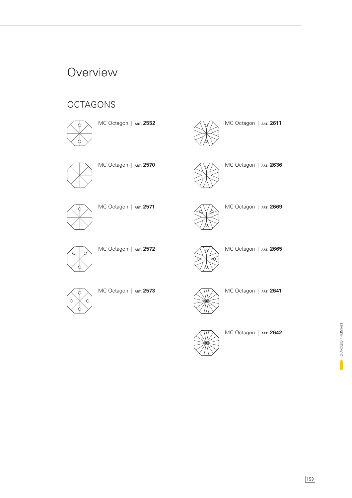## **Overview**

### **OCTAGONS**



MC Octagon | **ART. 2552**



MC Octagon | **ART. 2570**



MC Octagon | **ART. 2571**



MC Octagon | **ART. 2572**





MC Octagon | **ART. 2665**

MC Octagon | **ART. 2636**

MC Octagon | **ART. 2611**

MC Octagon | **ART. 2669**



MC Octagon | **ART. 2573**



MC Octagon | **ART. 2641**



MC Octagon | **ART. 2642**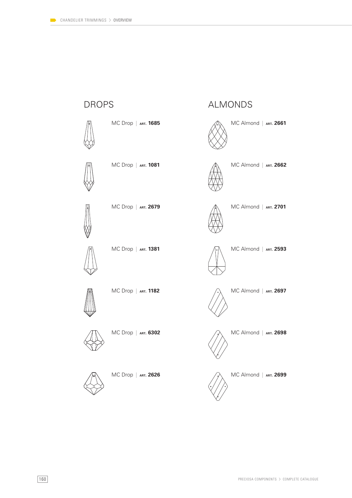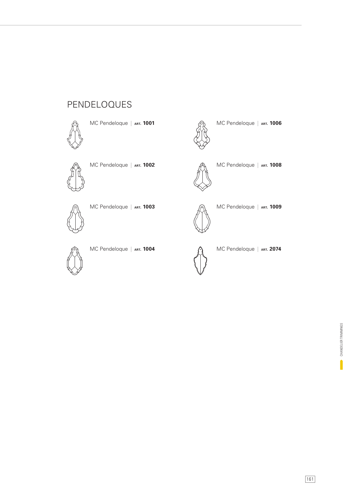### PENDELOQUES



MC Pendeloque | **ART. 1001**



MC Pendeloque | **ART. 1002**



MC Pendeloque | **ART. 1003**



MC Pendeloque | **ART. 1004**

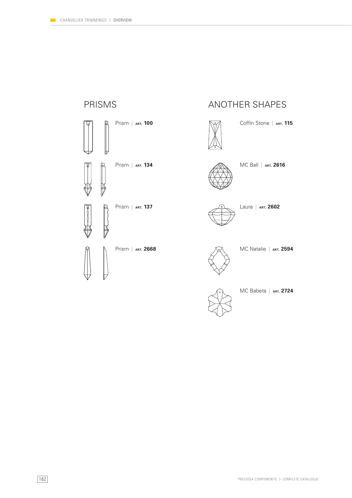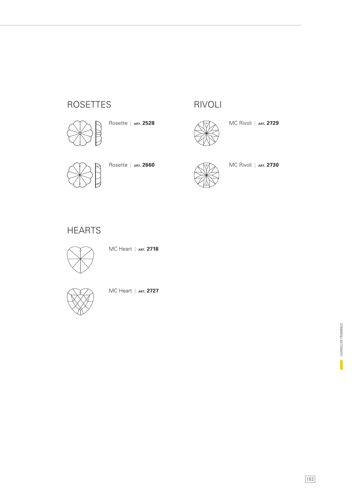### ROSETTES



Rosette | **ART. 2528**



RIVOLI

MC Rivoli | **ART. 2729**



Rosette | **ART. 2660**



MC Rivoli | **ART. 2730**

### **HEARTS**



MC Heart | **ART. 2718**



MC Heart | **ART. 2727**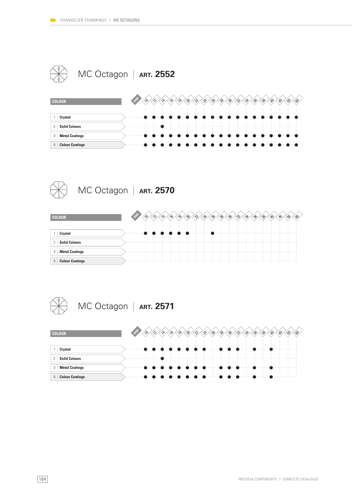

| <b>COLOUR</b>               |   |   |                                                         | ′∿ | $\mathcal{P}$                            | $\langle \hat{v} \rangle$ | $\langle v \rangle$ | $\langle v \rangle$<br>$\langle v \rangle$ | ∕ి | $\mathbb{S}'$                                                                                                                                                                                                                  | $\mathcal{E}$ | ్వాం | ్తికి |              | $\infty$ |  |
|-----------------------------|---|---|---------------------------------------------------------|----|------------------------------------------|---------------------------|---------------------|--------------------------------------------|----|--------------------------------------------------------------------------------------------------------------------------------------------------------------------------------------------------------------------------------|---------------|------|-------|--------------|----------|--|
| Crystal                     |   | . |                                                         | .  | .                                        |                           |                     |                                            |    | state and the second company of the second company of the second company of the second company of the second company of the second company of the second company of the second company of the second company of the second com |               |      |       |              |          |  |
| <b>Solid Colours</b><br>2   | . |   |                                                         |    |                                          |                           |                     |                                            |    |                                                                                                                                                                                                                                |               |      |       |              |          |  |
| <b>Metal Coatings</b><br>3  | . |   |                                                         |    | <b>ALC: YES: 1999</b><br><b>ALC: YES</b> |                           |                     |                                            |    |                                                                                                                                                                                                                                |               |      |       | $\mathbf{p}$ |          |  |
| <b>Colour Coatings</b><br>4 |   |   | $\rightarrow$ $\rightarrow$ $\rightarrow$ $\rightarrow$ |    |                                          |                           |                     |                                            |    | .                                                                                                                                                                                                                              |               |      |       |              | .        |  |



| <b>COLOUR</b>                           | $\sim$ |  |       |     |  | $\gamma$<br>ി് | ్రా |  | ్రా | ഹ |  |  |
|-----------------------------------------|--------|--|-------|-----|--|----------------|-----|--|-----|---|--|--|
| Crystal                                 |        |  | 11111 | . 1 |  |                |     |  |     |   |  |  |
| <b>Solid Colours</b><br>2 <sup>1</sup>  |        |  |       |     |  |                |     |  |     |   |  |  |
| <b>Metal Coatings</b><br>3 <sup>2</sup> |        |  |       |     |  |                |     |  |     |   |  |  |
| 4   Colour Coatings                     |        |  |       |     |  |                |     |  |     |   |  |  |

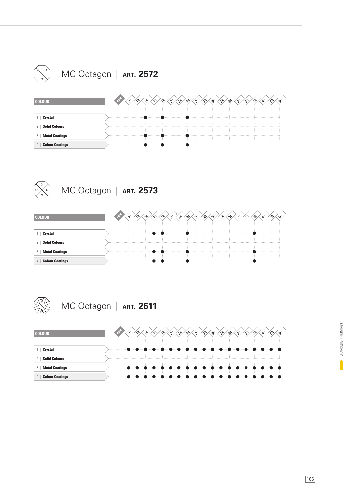



4 | **Colour Coatings**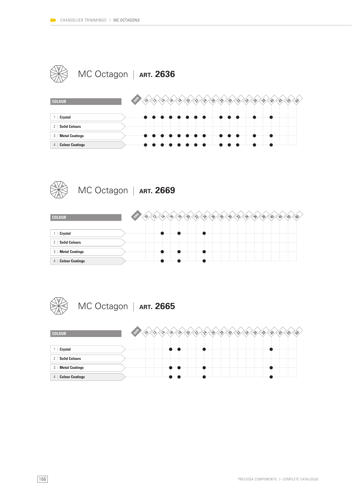

| <b>COLOUR</b>                            | <b>SAMP</b> | ∕^ |   | $\delta$ | ′୫ | $\langle \hat{\mathcal{C}} \rangle$ | <1v | $\langle v \rangle$<br>$\langle v \rangle$ | $\langle 3 \rangle$ | 42                                  | ∕\$∕    | $\mathfrak{B}$ | ్యం<br>్యం | $\mathscr{A}$ | 的 | E |  |
|------------------------------------------|-------------|----|---|----------|----|-------------------------------------|-----|--------------------------------------------|---------------------|-------------------------------------|---------|----------------|------------|---------------|---|---|--|
| Crystal                                  | .           |    | . |          |    | . 1                                 |     |                                            |                     | .                                   | 1.1.1.1 | . 4            | . 1        |               |   |   |  |
| <b>Solid Colours</b><br>2 <sup>1</sup>   |             |    |   |          |    |                                     |     |                                            |                     |                                     |         |                |            |               |   |   |  |
| <b>Metal Coatings</b><br>3 <sup>1</sup>  |             |    | . |          |    |                                     |     |                                            | .                   | .<br><b><i><u>B</u> B B B B</i></b> |         |                | .          |               |   |   |  |
| <b>Colour Coatings</b><br>4 <sup>1</sup> |             |    |   |          |    |                                     | .   |                                            |                     |                                     |         | . 1            |            |               |   |   |  |



| <b>COLOUR</b>                           |  |   | ′⊹ଚ<br>഻൜ | ′∿ | $\gamma$ | ్వనీ<br>్రీ | ্^ | nx | ్తిం<br>్రాం | o, | ∾ |  |
|-----------------------------------------|--|---|-----------|----|----------|-------------|----|----|--------------|----|---|--|
| Crystal                                 |  | . |           |    | .        |             |    |    |              |    |   |  |
| <b>Solid Colours</b><br>2 <sup>1</sup>  |  |   |           |    |          |             |    |    |              |    |   |  |
| <b>Metal Coatings</b><br>3 <sup>1</sup> |  | . |           |    |          |             |    |    |              |    |   |  |
| 4   Colour Coatings                     |  | . |           |    |          |             |    |    |              |    |   |  |

MC Octagon | **ART. 2665**

| <b>COLOUR</b>                        |   |  |   |  | $\gamma$<br>્ષ | ౄ | ్చి<br>`^sk | ി∿് | ్తం | ్తిం | B.<br>w | E |
|--------------------------------------|---|--|---|--|----------------|---|-------------|-----|-----|------|---------|---|
|                                      |   |  |   |  |                |   |             |     |     |      |         |   |
| Crystal                              | . |  | . |  |                |   |             |     | .   |      |         |   |
| <b>Solid Colours</b><br>$\mathbf{2}$ |   |  |   |  |                |   |             |     |     |      |         |   |
| 3   Metal Coatings                   |   |  | . |  |                |   |             |     |     |      |         |   |
| <b>Colour Coatings</b><br>4          | . |  | . |  |                |   |             |     |     |      |         |   |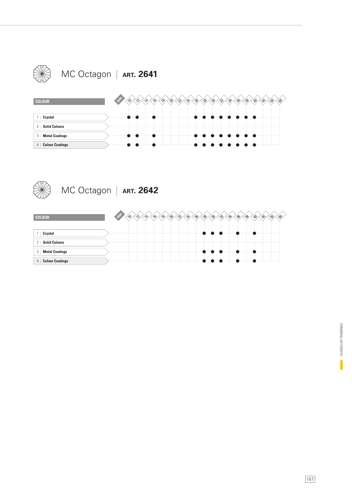

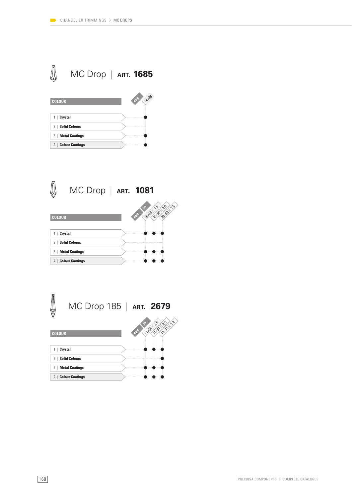

| <b>COLOUR</b>               | 14-38<br><b>SEP</b> |
|-----------------------------|---------------------|
| Crystal                     |                     |
| <b>Solid Colours</b><br>2   |                     |
| <b>Metal Coatings</b><br>3  |                     |
| <b>Colour Coatings</b><br>4 |                     |



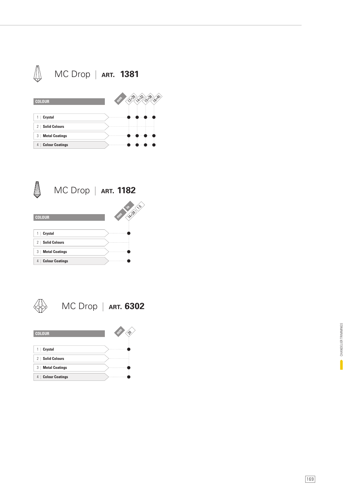



4 | **Colour Coatings**

4 | **Colour Coatings**



|   | r |
|---|---|
|   |   |
| ٠ |   |
|   |   |
|   |   |
|   |   |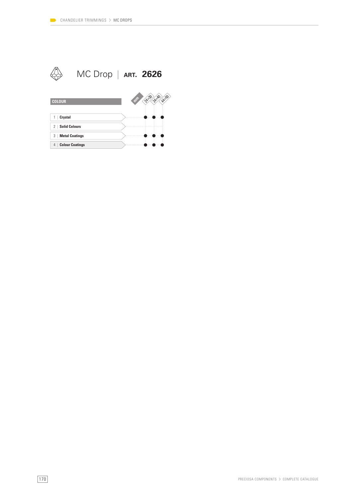3 | **Metal Coatings** 4 | **Colour Coatings**

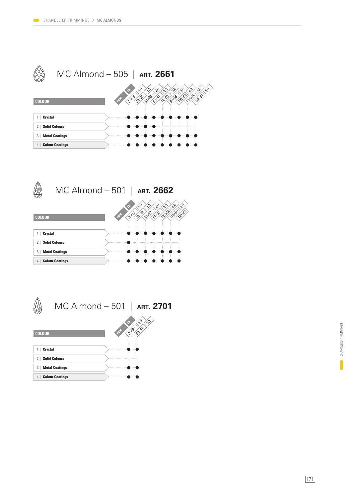



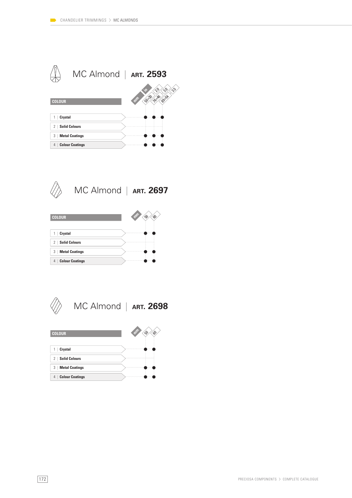



MC Almond | **ART. 2697**





MC Almond | **ART. 2698**

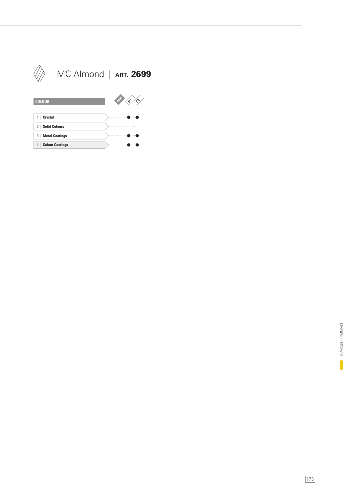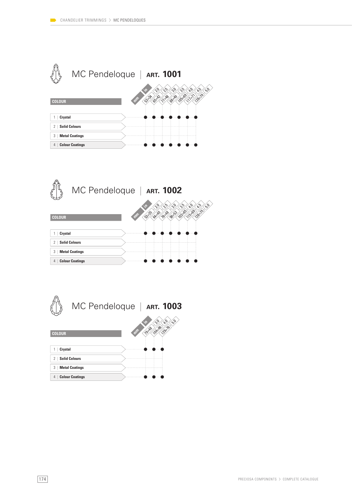



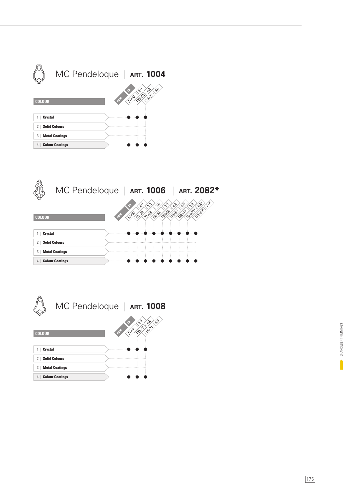



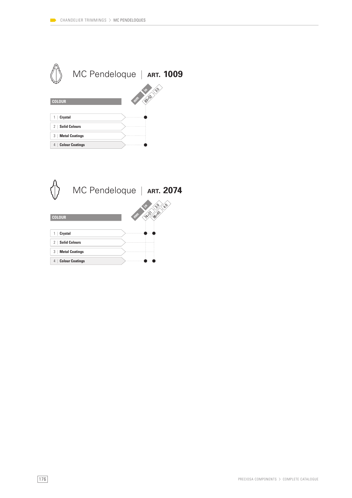

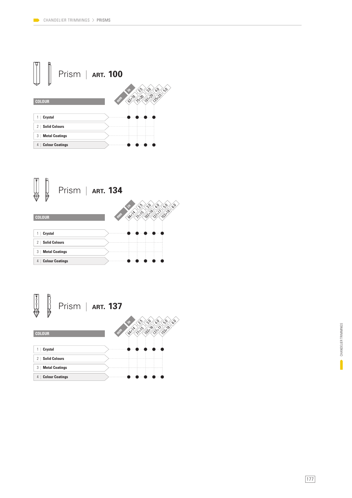



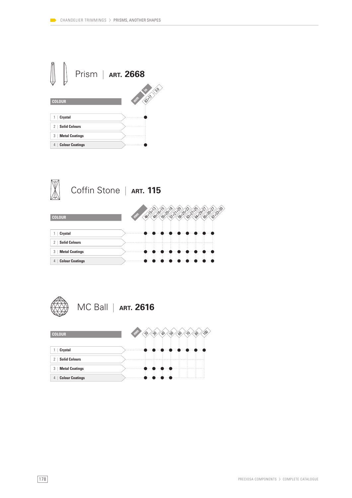





MC Ball | **ART. 2616**

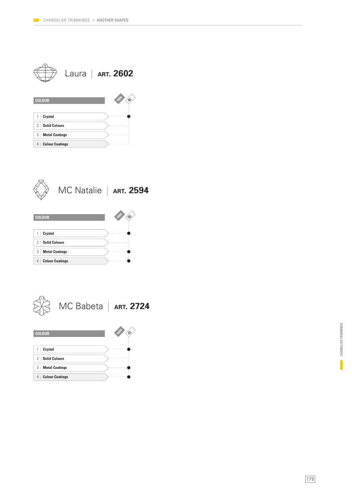|                                               | Laura   ART. 2602 |
|-----------------------------------------------|-------------------|
| <b>COLOUR</b>                                 |                   |
| Crystal<br>1                                  |                   |
| <b>Solid Colours</b><br>$\mathbf{2}^{\prime}$ |                   |
| <b>Metal Coatings</b><br>3                    |                   |
| <b>Colour Coatings</b><br>4                   |                   |



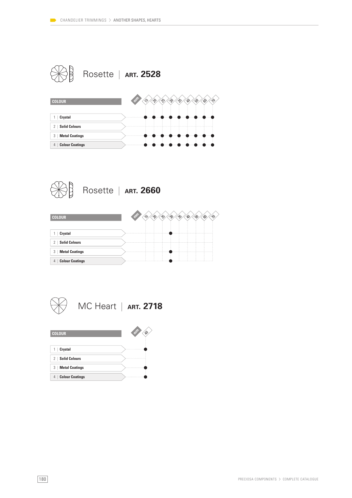







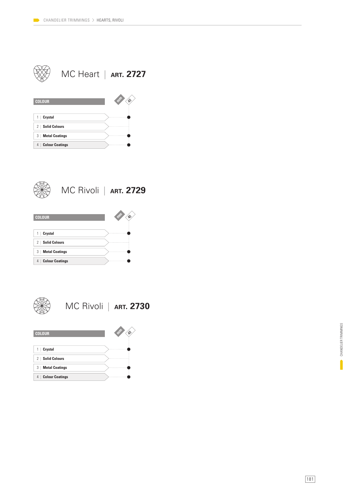|                             | MC Heart   ART. 2727 |
|-----------------------------|----------------------|
| <b>COLOUR</b>               | Ž,                   |
| Crystal                     |                      |
| <b>Solid Colours</b><br>2   |                      |
| 3<br><b>Metal Coatings</b>  |                      |
| <b>Colour Coatings</b><br>4 |                      |



MC Rivoli | **ART. 2729**





MC Rivoli | **ART. 2730**

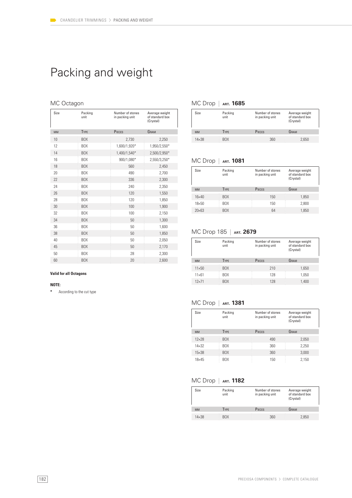# Packing and weight

#### MC Octagon

| Size      | Packing<br>unit | Number of stones<br>in packing unit | Average weight<br>of standard box<br>(Crystal) |
|-----------|-----------------|-------------------------------------|------------------------------------------------|
| <b>MM</b> | <b>TYPE</b>     | PIECES                              | GRAM                                           |
| 10        | <b>BOX</b>      | 2,730                               | 2,250                                          |
| 12        | <b>BOX</b>      | 1,600/1,920*                        | 1,950/2,550*                                   |
| 14        | <b>BOX</b>      | 1,400/1,540*                        | 2,500/2,950*                                   |
| 16        | BOX             | 900/1,080*                          | 2,550/3,250*                                   |
| 18        | <b>BOX</b>      | 560                                 | 2,450                                          |
| 20        | BOX             | 490                                 | 2,700                                          |
| 22        | <b>BOX</b>      | 336                                 | 2,300                                          |
| 24        | <b>BOX</b>      | 240                                 | 2,350                                          |
| 26        | <b>BOX</b>      | 120                                 | 1,550                                          |
| 28        | <b>BOX</b>      | 120                                 | 1,850                                          |
| 30        | <b>BOX</b>      | 100                                 | 1,900                                          |
| 32        | BOX             | 100                                 | 2,150                                          |
| 34        | <b>BOX</b>      | 50                                  | 1,300                                          |
| 36        | BOX             | 50                                  | 1,600                                          |
| 38        | <b>BOX</b>      | 50                                  | 1,850                                          |
| 40        | BOX             | 50                                  | 2,050                                          |
| 45        | <b>BOX</b>      | 50                                  | 2,170                                          |
| 50        | <b>BOX</b>      | 28                                  | 2,300                                          |
| 60        | <b>BOX</b>      | 20                                  | 2,600                                          |

#### MC Drop | **ART. 1685**

| Size         | Packing<br>unit | Number of stones<br>in packing unit | Average weight<br>of standard box<br>(Crystal) |
|--------------|-----------------|-------------------------------------|------------------------------------------------|
| <b>MM</b>    | <b>TYPE</b>     | <b>PIECES</b>                       | GRAM                                           |
| $14\times38$ | <b>BOX</b>      | 360                                 | 2.650                                          |

#### MC Drop | **ART. 1081**

| Size          | Packing<br>unit | Number of stones<br>in packing unit | Average weight<br>of standard box<br>(Crystal) |
|---------------|-----------------|-------------------------------------|------------------------------------------------|
| <b>MM</b>     | <b>TYPE</b>     | PIECES                              | GRAM                                           |
| $16\times 40$ | BOX             | 150                                 | 1,850                                          |
| $18\times50$  | <b>BOX</b>      | 150                                 | 2,800                                          |
| $20\times63$  | BOX             | 64                                  | 1,850                                          |

#### MC Drop 185 | **ART. 2679**

| Size          | Packing<br>unit | Number of stones<br>in packing unit | Average weight<br>of standard box<br>(Crystal) |  |
|---------------|-----------------|-------------------------------------|------------------------------------------------|--|
| <b>MM</b>     | <b>TYPE</b>     | PIECES                              | GRAM                                           |  |
| $11\times50$  | <b>BOX</b>      | 210                                 | 1,650                                          |  |
| $11\times 61$ | <b>BOX</b>      | 128                                 | 1,050                                          |  |
| $12\times 71$ | BOX             | 128                                 | 1,400                                          |  |

#### MC Drop | **ART. 1381**

| Size           | Packing<br>unit | Number of stones<br>in packing unit | Average weight<br>of standard box<br>(Crystal) |
|----------------|-----------------|-------------------------------------|------------------------------------------------|
| <b>MM</b>      | <b>TYPE</b>     | PIECES                              | GRAM                                           |
| $12\times28$   | BOX             | 490                                 | 2,050                                          |
| $14 \times 32$ | BOX             | 360                                 | 2,250                                          |
| $15\times38$   | BOX             | 360                                 | 3,000                                          |
| $18\times 45$  | BOX             | 150                                 | 2.150                                          |

#### MC Drop | **ART. 1182**

| Size         | Packing<br>unit | Number of stones<br>in packing unit | Average weight<br>of standard box<br>(Crystal) |
|--------------|-----------------|-------------------------------------|------------------------------------------------|
| <b>MM</b>    | <b>TYPE</b>     | <b>PIECES</b>                       | GRAM                                           |
| $14\times38$ | <b>BOX</b>      | 360                                 | 2,850                                          |

#### **Valid for all Octagons**

#### **NOTE:**

**\*** According to the cut type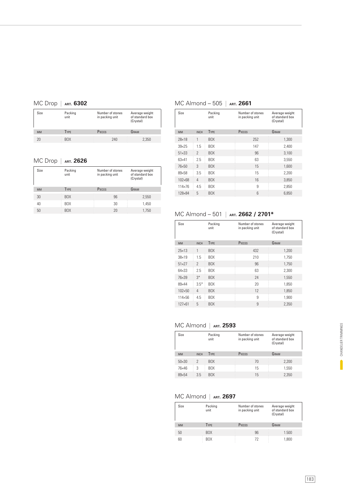#### MC Drop | **ART. 6302**

| Size      | Packing<br>unit | Number of stones<br>in packing unit | Average weight<br>of standard box<br>(Crystal) |
|-----------|-----------------|-------------------------------------|------------------------------------------------|
| <b>MM</b> | <b>TYPE</b>     | PIECES                              | GRAM                                           |
|           | <b>BOX</b>      | 240                                 | 2,350                                          |

#### MC Drop | **ART. 2626**

| Size      | Packing<br>unit | Number of stones<br>in packing unit | Average weight<br>of standard box<br>(Crystal) |
|-----------|-----------------|-------------------------------------|------------------------------------------------|
| <b>MM</b> | <b>TYPE</b>     | PIECES                              | GRAM                                           |
| 30        | <b>BOX</b>      | 96                                  | 2,550                                          |
| 40        | BOX             | 30                                  | 1,450                                          |
| 50        | <b>BOX</b>      | 20                                  | 1.750                                          |

#### MC Almond – 505 | **ART. 2661**

| Size            |                | Packing<br>unit | Number of stones<br>in packing unit | Average weight<br>of standard box<br>(Crystal) |
|-----------------|----------------|-----------------|-------------------------------------|------------------------------------------------|
| <b>MM</b>       | <b>INCH</b>    | <b>TYPE</b>     | PIECES                              | GRAM                                           |
| $28\times18$    | 1              | BOX             | 252                                 | 1,300                                          |
| $39\times25$    | 1.5            | BOX             | 147                                 | 2,400                                          |
| $51 \times 33$  | $\mathcal{P}$  | BOX             | 96                                  | 3,100                                          |
| $63\times41$    | 2.5            | <b>BOX</b>      | 63                                  | 3,550                                          |
| 76×50           | 3              | BOX             | 15                                  | 1,600                                          |
| $89\times58$    | 3.5            | <b>BOX</b>      | 15                                  | 2.200                                          |
| 102×68          | $\overline{4}$ | BOX             | 16                                  | 3,850                                          |
| $114 \times 76$ | 4.5            | BOX             | 9                                   | 2,850                                          |
| 128×84          | 5              | BOX             | 6                                   | 6,850                                          |
|                 |                |                 |                                     |                                                |

#### MC Almond – 501 | **ART. 2662 / 2701\***

| Size           |                | Packing<br>unit | Number of stones<br>in packing unit | Average weight<br>of standard box<br>(Crystal) |
|----------------|----------------|-----------------|-------------------------------------|------------------------------------------------|
| <b>MM</b>      | <b>INCH</b>    | TYPE            | PIECES                              | GRAM                                           |
| $75\times13$   | 1              | <b>BOX</b>      | 432                                 | 1.200                                          |
| $38\times19$   | 1.5            | <b>BOX</b>      | 210                                 | 1.750                                          |
| $51 \times 27$ | $\mathcal{P}$  | BOX             | 96                                  | 1,750                                          |
| $64\times33$   | 2.5            | <b>BOX</b>      | 63                                  | 2,300                                          |
| 76×39          | $3*$           | <b>BOX</b>      | 24                                  | 1,550                                          |
| 89×44          | $3.5*$         | <b>BOX</b>      | 20                                  | 1.850                                          |
| 102×50         | $\overline{4}$ | BOX             | 12                                  | 1,850                                          |
| $114\times56$  | 4.5            | <b>BOX</b>      | 9                                   | 1,900                                          |
| $127\times 61$ | 5              | <b>BOX</b>      | 9                                   | 2,350                                          |

#### MC Almond | **ART. 2593**

| Size           |             | Packing<br>unit | Number of stones<br>in packing unit | Average weight<br>of standard box<br>(Crystal) |
|----------------|-------------|-----------------|-------------------------------------|------------------------------------------------|
| <b>MM</b>      | <b>INCH</b> | <b>TYPE</b>     | <b>PIECES</b>                       | GRAM                                           |
| $50 \times 30$ | 2           | <b>BOX</b>      | 70                                  | 2.200                                          |
| 76×46          | 3           | <b>BOX</b>      | 15                                  | 1,550                                          |
| 89×54          | 3.5         | <b>BOX</b>      | 15                                  | 2,350                                          |

#### MC Almond | **ART. 2697**

| Size      | Packing<br>unit | Number of stones<br>in packing unit | Average weight<br>of standard box<br>(Crystal) |
|-----------|-----------------|-------------------------------------|------------------------------------------------|
| <b>MM</b> | <b>TYPE</b>     | PIECES                              | GRAM                                           |
| 50        | BOX             | 96                                  | 1.500                                          |
| 60        | BOX             | 72                                  | 1,800                                          |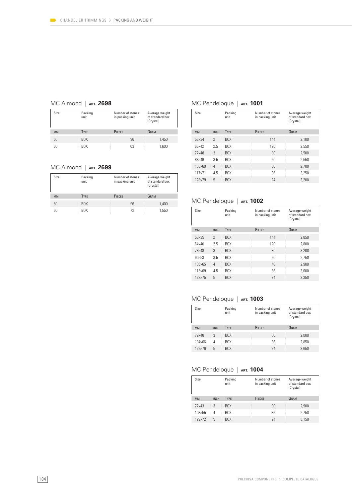#### MC Almond | **ART. 2698**

| Size      | Packing<br>unit | Number of stones<br>in packing unit | Average weight<br>of standard box<br>(Crystal) |
|-----------|-----------------|-------------------------------------|------------------------------------------------|
| <b>MM</b> | <b>TYPE</b>     | PIECES                              | GRAM                                           |
| 50        | BOX             | 96                                  | 1.450                                          |
| 60        | BOX             | 63                                  | 1,600                                          |

#### MC Almond | **ART. 2699**

| Size      | Packing<br>unit | Number of stones<br>in packing unit | Average weight<br>of standard box<br>(Crystal) |
|-----------|-----------------|-------------------------------------|------------------------------------------------|
| <b>MM</b> | <b>TYPE</b>     | PIECES                              | GRAM                                           |
| 50        | BOX             | 96                                  | 1,400                                          |
| 60        | <b>BOX</b>      | 72                                  | 1.550                                          |

#### MC Pendeloque | ART. 1001

| Size           |               | Packing<br>unit | Number of stones<br>in packing unit | Average weight<br>of standard box<br>(Crystal) |
|----------------|---------------|-----------------|-------------------------------------|------------------------------------------------|
| <b>MM</b>      | <b>INCH</b>   | TYPE            | <b>PIECES</b>                       | GRAM                                           |
| $53\times34$   | $\mathcal{P}$ | <b>BOX</b>      | 144                                 | 2,100                                          |
| $65\times42$   | 2.5           | <b>BOX</b>      | 120                                 | 2.550                                          |
| $77\times48$   | 3             | <b>BOX</b>      | 80                                  | 2.500                                          |
| 88×49          | 3.5           | <b>BOX</b>      | 60                                  | 2.550                                          |
| 105×69         | 4             | <b>BOX</b>      | 36                                  | 2.700                                          |
| $117\times 71$ | 4.5           | <b>BOX</b>      | 36                                  | 3.250                                          |
| 128×79         | 5             | <b>BOX</b>      | 24                                  | 3,200                                          |

#### MC Pendeloque | **ART. 1002**

| Size            |                | Packing<br>unit | Number of stones<br>in packing unit | Average weight<br>of standard box<br>(Crystal) |
|-----------------|----------------|-----------------|-------------------------------------|------------------------------------------------|
| <b>MM</b>       | <b>INCH</b>    | TYPE            | PIECES                              | GRAM                                           |
| $53\times35$    | $\mathcal{P}$  | <b>BOX</b>      | 144                                 | 2.850                                          |
| $64\times40$    | 7.5            | <b>BOX</b>      | 120                                 | 2.800                                          |
| 78×48           | 3              | <b>BOX</b>      | 80                                  | 3,200                                          |
| $90 \times 53$  | 3.5            | <b>BOX</b>      | 60                                  | 2.750                                          |
| $103 \times 65$ | $\overline{4}$ | <b>BOX</b>      | 40                                  | 2,900                                          |
| $115\times69$   | 4.5            | <b>BOX</b>      | 36                                  | 3,600                                          |
| 128×75          | 5              | <b>BOX</b>      | 24                                  | 3.350                                          |

#### MC Pendeloque | **ART. 1003**

| Size           |             | Packing<br>unit | Number of stones<br>in packing unit | Average weight<br>of standard box<br>(Crystal) |
|----------------|-------------|-----------------|-------------------------------------|------------------------------------------------|
| <b>MM</b>      | <b>INCH</b> | <b>TYPE</b>     | PIECES                              | GRAM                                           |
| 79×48          | 3           | <b>BOX</b>      | 80                                  | 2,800                                          |
| $104\times 66$ | 4           | <b>BOX</b>      | 36                                  | 2,850                                          |
| 129×76         | 5           | <b>BOX</b>      | 24                                  | 3,650                                          |

#### MC Pendeloque | **ART. 1004**

| Size            |             | Packing<br>unit | Number of stones<br>in packing unit | Average weight<br>of standard box<br>(Crystal) |
|-----------------|-------------|-----------------|-------------------------------------|------------------------------------------------|
| <b>MM</b>       | <b>INCH</b> | <b>TYPE</b>     | <b>PIECES</b>                       | GRAM                                           |
| $77\times43$    | 3           | <b>BOX</b>      | 80                                  | 2,900                                          |
| $103 \times 55$ | 4           | <b>BOX</b>      | 36                                  | 2.750                                          |
| $129\times 72$  | 5           | <b>BOX</b>      | 24                                  | 3,150                                          |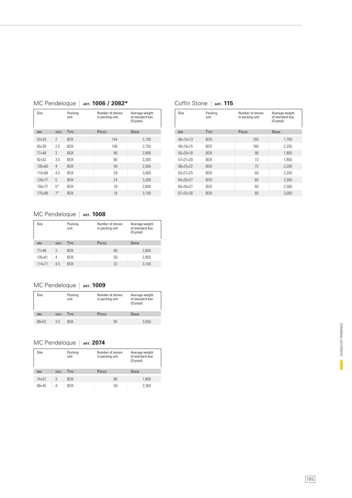| Size         |               | Packing<br>unit | Number of stones<br>in packing unit | Average weight<br>of standard box<br>(Crystal) |
|--------------|---------------|-----------------|-------------------------------------|------------------------------------------------|
| <b>MM</b>    | <b>INCH</b>   | <b>TYPE</b>     | PIECES                              | GRAM                                           |
| $53\times33$ | $\mathcal{P}$ | BOX             | 144                                 | 2,100                                          |
| $65\times39$ | 2.5           | <b>BOX</b>      | 100                                 | 2.750                                          |
| $77\times48$ | 3             | <b>BOX</b>      | 80                                  | 2,800                                          |
| $92\times52$ | 3.5           | <b>BOX</b>      | 60                                  | 3,300                                          |
| 105×60       | 4             | <b>BOX</b>      | 40                                  | 2,500                                          |
| 116×68       | 4.5           | <b>BOX</b>      | 28                                  | 3.000                                          |
| 128×77       | 5             | BOX             | 24                                  | 3,200                                          |
| 150×77       | $5*$          | <b>BOX</b>      | 16                                  | 2,600                                          |
| 175×89       | $7*$          | BOX             | 16                                  | 3.100                                          |

#### MC Pendeloque | **ART. 1006 / 2082\***

#### Coffin Stone | **ART. 115**

| Size                     | Packing<br>unit  | Number of stones<br>in packing unit | Average weight<br>of standard box<br>(Crystal) |
|--------------------------|------------------|-------------------------------------|------------------------------------------------|
| <b>MM</b>                | <b>TYPE</b>      | PIECES                              | GRAM                                           |
| $46 \times 15 \times 13$ | <b>BOX</b>       | 160                                 | 1.700                                          |
| $49 \times 16 \times 15$ | <b>BOX</b>       | 160                                 | 2.250                                          |
| 55×20×18                 | B <sub>O</sub> X | 90                                  | 1,850                                          |
| $57\times21\times20$     | BOX.             | 72                                  | 1.850                                          |
| $58 \times 25 \times 22$ | B <sub>O</sub> X | 72                                  | 2.200                                          |
| $63 \times 27 \times 25$ | BOX.             | 60                                  | 2.250                                          |
| $64\times29\times27$     | <b>BOX</b>       | 60                                  | 2,550                                          |
| $65 \times 30 \times 27$ | BOX              | 60                                  | 2,500                                          |
| 67×33×30                 | BOX              | 60                                  | 3.050                                          |

### MC Pendeloque | ART. 1008

| Size            | Packing<br>Number of stones<br>unit<br>in packing unit |                  | Average weight<br>of standard box<br>(Crystal) |       |
|-----------------|--------------------------------------------------------|------------------|------------------------------------------------|-------|
| <b>MM</b>       | <b>INCH</b>                                            | <b>TYPE</b>      | PIECES                                         | GRAM  |
| $77\times48$    | 3                                                      | BOX              | 80                                             | 2,600 |
| $105 \times 61$ | 4                                                      | B <sub>O</sub> X | 50                                             | 2.850 |
| 114×71          | 4.5                                                    | <b>BOX</b>       | 32                                             | 3,100 |

#### MC Pendeloque | ART. 1009

| Size          |             | Packing<br>unit | Number of stones<br>in packing unit | Average weight<br>of standard box<br>(Crystal) |
|---------------|-------------|-----------------|-------------------------------------|------------------------------------------------|
| <b>MM</b>     | <b>INCH</b> | <b>TYPE</b>     | PIECES                              | GRAM                                           |
| $89\times 52$ | 3.5         | <b>BUX</b>      | 60                                  | 3.050                                          |

#### MC Pendeloque | ART. 2074

| Size         |             | Packing<br>unit | Number of stones<br>in packing unit | Average weight<br>of standard box<br>(Crystal) |
|--------------|-------------|-----------------|-------------------------------------|------------------------------------------------|
| <b>MM</b>    | <b>INCH</b> | <b>TYPE</b>     | PIECES                              | GRAM                                           |
| $74\times31$ | 3           | <b>BOX</b>      | 80                                  | 1,800                                          |
| 98×45        | 4           | <b>BOX</b>      | 50                                  | 2,300                                          |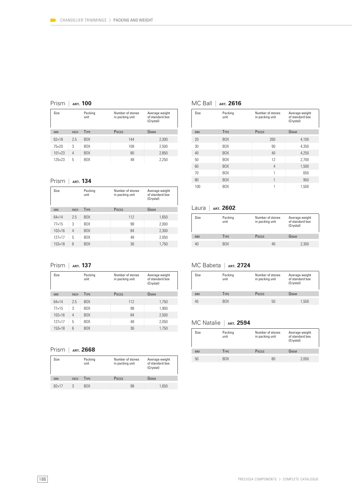#### Prism | **ART. 100**

| Size            |             | Packing<br>unit | Number of stones<br>in packing unit | Average weight<br>of standard box<br>(Crystal) |
|-----------------|-------------|-----------------|-------------------------------------|------------------------------------------------|
| <b>MM</b>       | <b>INCH</b> | <b>TYPE</b>     | PIECES                              | GRAM                                           |
| $62\times18$    | 7.5         | BOX.            | 144                                 | 2,300                                          |
| $75\times20$    | 3           | BOX             | 108                                 | 2.500                                          |
| $101 \times 23$ | 4           | BOX             | 80                                  | 2,850                                          |
| $125 \times 23$ | 5           | <b>BOX</b>      | 48                                  | 2,250                                          |

#### Prism | **ART. 134**

| Size            |             | Packing<br>unit | Number of stones<br>in packing unit | Average weight<br>of standard box<br>(Crystal) |
|-----------------|-------------|-----------------|-------------------------------------|------------------------------------------------|
| <b>MM</b>       | <b>INCH</b> | <b>TYPE</b>     | PIECES                              | GRAM                                           |
| $64\times14$    | 2.5         | <b>BOX</b>      | 112                                 | 1,650                                          |
| $77\times15$    | 3           | <b>BOX</b>      | 98                                  | 2,000                                          |
| $102\times16$   | 4           | BOX             | 84                                  | 2,300                                          |
| $127\times 17$  | 5           | <b>BOX</b>      | 48                                  | 2,050                                          |
| $153 \times 18$ | 6           | <b>BOX</b>      | 36                                  | 1.750                                          |

Prism | **ART. 137**

| Size            |                 | Packing<br>unit | Number of stones<br>in packing unit | Average weight<br>of standard box<br>(Crystal) |
|-----------------|-----------------|-----------------|-------------------------------------|------------------------------------------------|
| <b>MM</b>       | <b>INCH</b>     | <b>TYPE</b>     | PIECES                              | GRAM                                           |
| $64\times14$    | 7.5             | <b>BOX</b>      | 112                                 | 1,750                                          |
| $77\times15$    | 3               | <b>BOX</b>      | 98                                  | 1.900                                          |
| $102\times16$   | 4               | <b>BOX</b>      | 84                                  | 2,500                                          |
| $127\times 17$  | 5               | <b>BOX</b>      | 48                                  | 2,050                                          |
| $153 \times 18$ | $6\overline{6}$ | <b>BOX</b>      | 36                                  | 1,750                                          |
|                 |                 |                 |                                     |                                                |

Prism | **ART. 2668**

| Size         |             | Packing<br>unit | Number of stones<br>in packing unit | Average weight<br>of standard box<br>(Crystal) |  |
|--------------|-------------|-----------------|-------------------------------------|------------------------------------------------|--|
| <b>MM</b>    | <b>INCH</b> | <b>TYPE</b>     | PIECES                              | GRAM                                           |  |
| $82\times17$ | 3           | <b>BOX</b>      | 98                                  | 1.650                                          |  |

#### MC Ball | **ART. 2616**

| Size      | Packing<br>unit | Number of stones<br>in packing unit | Average weight<br>of standard box<br>(Crystal) |
|-----------|-----------------|-------------------------------------|------------------------------------------------|
| <b>MM</b> | <b>TYPE</b>     | PIECES                              | GRAM                                           |
| 20        | <b>BOX</b>      | 260                                 | 4,100                                          |
| 30        | BOX             | 90                                  | 4.350                                          |
| 40        | <b>BOX</b>      | 40                                  | 4,250                                          |
| 50        | BOX             | 12                                  | 2,700                                          |
| 60        | <b>BOX</b>      | 4                                   | 1,500                                          |
| 70        | BOX             | 1                                   | 650                                            |
| 80        | BOX             | 1                                   | 950                                            |
| 100       | BOX             | 1                                   | 1.500                                          |

#### Laura | **ART. 2602**

| Size      | Packing<br>unit | Number of stones<br>in packing unit | Average weight<br>of standard box<br>(Crystal) |
|-----------|-----------------|-------------------------------------|------------------------------------------------|
| <b>MM</b> | <b>TYPE</b>     | <b>PIECES</b>                       | GRAM                                           |
| 40        | BOX             | 40                                  | 2,300                                          |

#### MC Babeta | **ART. 2724**

| Size      | Packing<br>unit | Number of stones<br>in packing unit | Average weight<br>of standard box<br>(Crystal) |
|-----------|-----------------|-------------------------------------|------------------------------------------------|
| <b>MM</b> | <b>TYPE</b>     | PIECES                              | GRAM                                           |
| 45        | BOX             | 50                                  | 1,550                                          |

#### MC Natalie | **ART. 2594**

| Size      | Packing<br>unit | Number of stones<br>in packing unit | Average weight<br>of standard box<br>(Crystal) |
|-----------|-----------------|-------------------------------------|------------------------------------------------|
| <b>MM</b> | <b>TYPE</b>     | PIECES                              | GRAM                                           |
| 50        | <b>BOX</b>      | 80                                  | 2.050                                          |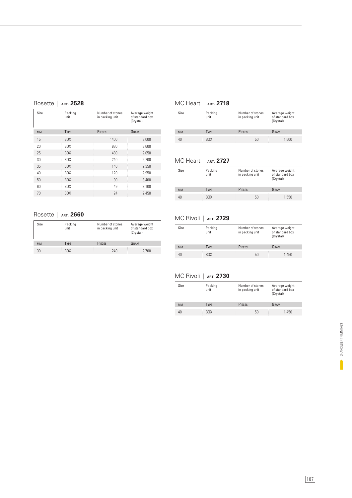| Size      | Packing<br>unit | Number of stones<br>in packing unit | Average weight<br>of standard box<br>(Crystal) |
|-----------|-----------------|-------------------------------------|------------------------------------------------|
| <b>MM</b> | TYPE            | PIECES                              | GRAM                                           |
| 15        | <b>BOX</b>      | 1400                                | 3,000                                          |
| 20        | BOX             | 980                                 | 3,600                                          |
| 25        | <b>BOX</b>      | 480                                 | 2,050                                          |
| 30        | BOX             | 240                                 | 2,700                                          |
| 35        | <b>BOX</b>      | 140                                 | 2,350                                          |
| 40        | BOX             | 120                                 | 2,950                                          |
| 50        | BOX             | 90                                  | 3,400                                          |
| 60        | BOX             | 49                                  | 3,100                                          |
| 70        | <b>BOX</b>      | 24                                  | 2,450                                          |

#### MC Heart | **ART. 2718**

| Size      | Packing<br>unit | Number of stones<br>in packing unit | Average weight<br>of standard box<br>(Crystal) |
|-----------|-----------------|-------------------------------------|------------------------------------------------|
| <b>MM</b> | <b>TYPE</b>     | PIECES                              | GRAM                                           |
|           | <b>BOX</b>      | 50                                  | 1,600                                          |

### MC Heart | **ART. 2727**

| Size      | Packing<br>unit | Number of stones<br>in packing unit | Average weight<br>of standard box<br>(Crystal) |
|-----------|-----------------|-------------------------------------|------------------------------------------------|
| <b>MM</b> | <b>TYPE</b>     | PIECES                              | GRAM                                           |
|           |                 |                                     |                                                |
| 40        | <b>BOX</b>      | 50                                  | 1.550                                          |

#### Rosette | **ART. 2660**

| Size      | Packing<br>unit | Number of stones<br>in packing unit | Average weight<br>of standard box<br>(Crystal) |
|-----------|-----------------|-------------------------------------|------------------------------------------------|
| <b>MM</b> | <b>TYPE</b>     | PIECES                              | GRAM                                           |
| 30        | <b>BOX</b>      | 240                                 | 2.700                                          |

#### MC Rivoli | **ART. 2729**

| Size      | Packing<br>unit | Number of stones<br>in packing unit | Average weight<br>of standard box<br>(Crystal) |
|-----------|-----------------|-------------------------------------|------------------------------------------------|
| <b>MM</b> | <b>TYPE</b>     | PIECES                              | GRAM                                           |
| 40        | <b>BOX</b>      | 50                                  | 1.450                                          |

#### MC Rivoli | **ART. 2730**

| Size      | Packing<br>unit | Number of stones<br>in packing unit | Average weight<br>of standard box<br>(Crystal) |
|-----------|-----------------|-------------------------------------|------------------------------------------------|
| <b>MM</b> | <b>TYPE</b>     | PIECES                              | GRAM                                           |
| 40        | BOX             | 50                                  | 1.450                                          |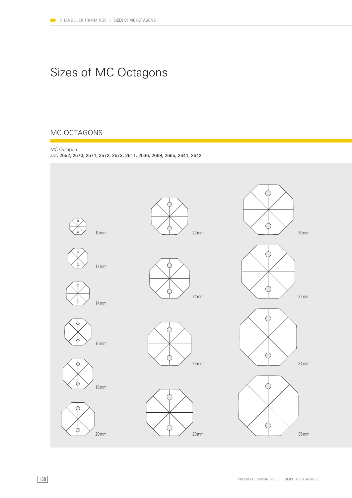# Sizes of MC Octagons

### MC OCTAGONS



ART. 2552, 2570, 2571, 2572, 2573, 2611, 2636, 2669, 2665, 2641, 2642